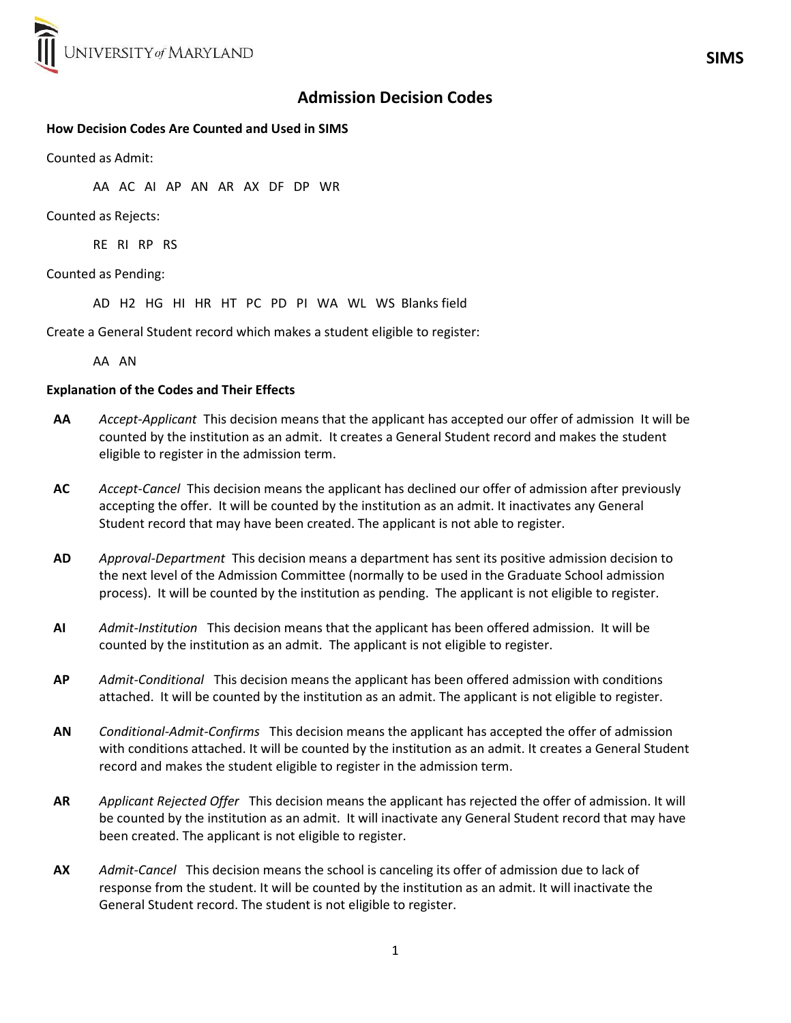

## Admission Decision Codes

## How Decision Codes Are Counted and Used in SIMS

Counted as Admit:

AA AC AI AP AN AR AX DF DP WR

Counted as Rejects:

RE RI RP RS

Counted as Pending:

AD H2 HG HI HR HT PC PD PI WA WL WS Blanks field

Create a General Student record which makes a student eligible to register:

AA AN

## Explanation of the Codes and Their Effects

- AA Accept-Applicant This decision means that the applicant has accepted our offer of admission It will be counted by the institution as an admit. It creates a General Student record and makes the student eligible to register in the admission term.
- AC Accept-Cancel This decision means the applicant has declined our offer of admission after previously accepting the offer. It will be counted by the institution as an admit. It inactivates any General Student record that may have been created. The applicant is not able to register.
- AD Approval-Department This decision means a department has sent its positive admission decision to the next level of the Admission Committee (normally to be used in the Graduate School admission process). It will be counted by the institution as pending. The applicant is not eligible to register.
- AI Admit-Institution This decision means that the applicant has been offered admission. It will be counted by the institution as an admit. The applicant is not eligible to register.
- AP Admit-Conditional This decision means the applicant has been offered admission with conditions attached. It will be counted by the institution as an admit. The applicant is not eligible to register.
- AN Conditional-Admit-Confirms This decision means the applicant has accepted the offer of admission with conditions attached. It will be counted by the institution as an admit. It creates a General Student record and makes the student eligible to register in the admission term.
- AR Applicant Rejected Offer This decision means the applicant has rejected the offer of admission. It will be counted by the institution as an admit. It will inactivate any General Student record that may have been created. The applicant is not eligible to register.
- AX Admit-Cancel This decision means the school is canceling its offer of admission due to lack of response from the student. It will be counted by the institution as an admit. It will inactivate the General Student record. The student is not eligible to register.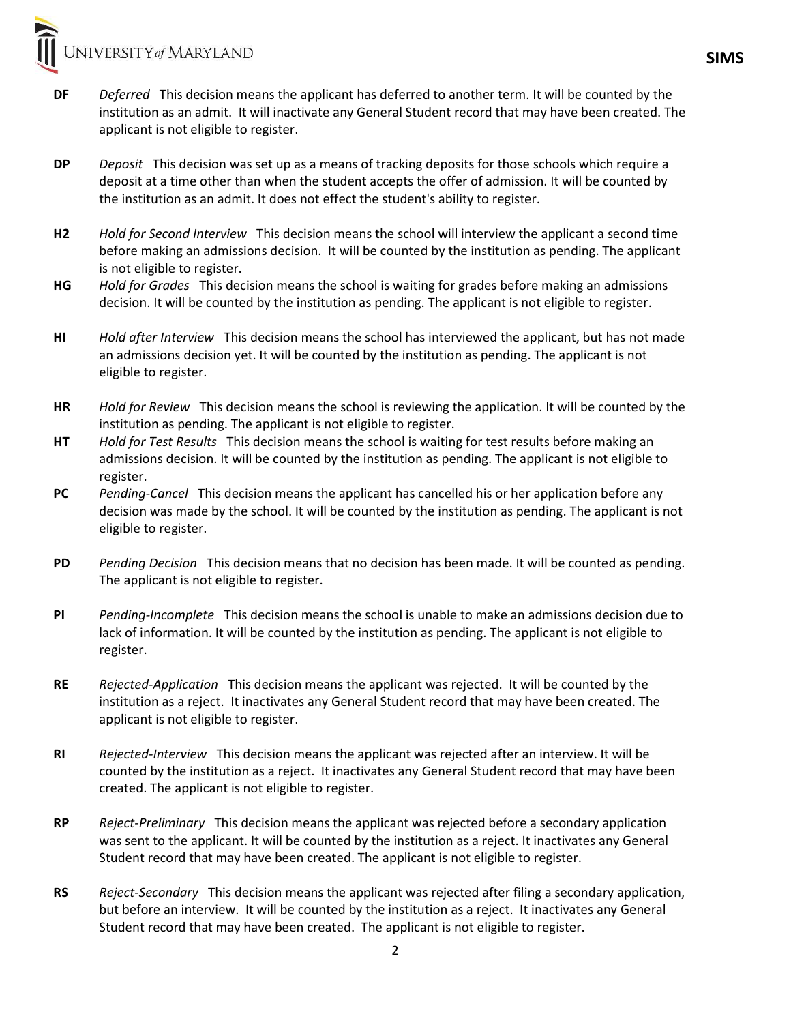- DF Deferred This decision means the applicant has deferred to another term. It will be counted by the institution as an admit. It will inactivate any General Student record that may have been created. The applicant is not eligible to register.
- DP Deposit This decision was set up as a means of tracking deposits for those schools which require a deposit at a time other than when the student accepts the offer of admission. It will be counted by the institution as an admit. It does not effect the student's ability to register.
- H2 Hold for Second Interview This decision means the school will interview the applicant a second time before making an admissions decision. It will be counted by the institution as pending. The applicant is not eligible to register.
- HG Hold for Grades This decision means the school is waiting for grades before making an admissions decision. It will be counted by the institution as pending. The applicant is not eligible to register.
- HI Hold after Interview This decision means the school has interviewed the applicant, but has not made an admissions decision yet. It will be counted by the institution as pending. The applicant is not eligible to register.
- HR Hold for Review This decision means the school is reviewing the application. It will be counted by the institution as pending. The applicant is not eligible to register.
- HT Hold for Test Results This decision means the school is waiting for test results before making an admissions decision. It will be counted by the institution as pending. The applicant is not eligible to register.
- PC Pending-Cancel This decision means the applicant has cancelled his or her application before any decision was made by the school. It will be counted by the institution as pending. The applicant is not eligible to register.
- PD Pending Decision This decision means that no decision has been made. It will be counted as pending. The applicant is not eligible to register.
- PI Pending-Incomplete This decision means the school is unable to make an admissions decision due to lack of information. It will be counted by the institution as pending. The applicant is not eligible to register.
- RE Rejected-Application This decision means the applicant was rejected. It will be counted by the institution as a reject. It inactivates any General Student record that may have been created. The applicant is not eligible to register.
- RI Rejected-Interview This decision means the applicant was rejected after an interview. It will be counted by the institution as a reject. It inactivates any General Student record that may have been created. The applicant is not eligible to register.
- RP Reject-Preliminary This decision means the applicant was rejected before a secondary application was sent to the applicant. It will be counted by the institution as a reject. It inactivates any General Student record that may have been created. The applicant is not eligible to register.
- RS Reject-Secondary This decision means the applicant was rejected after filing a secondary application, but before an interview. It will be counted by the institution as a reject. It inactivates any General Student record that may have been created. The applicant is not eligible to register.